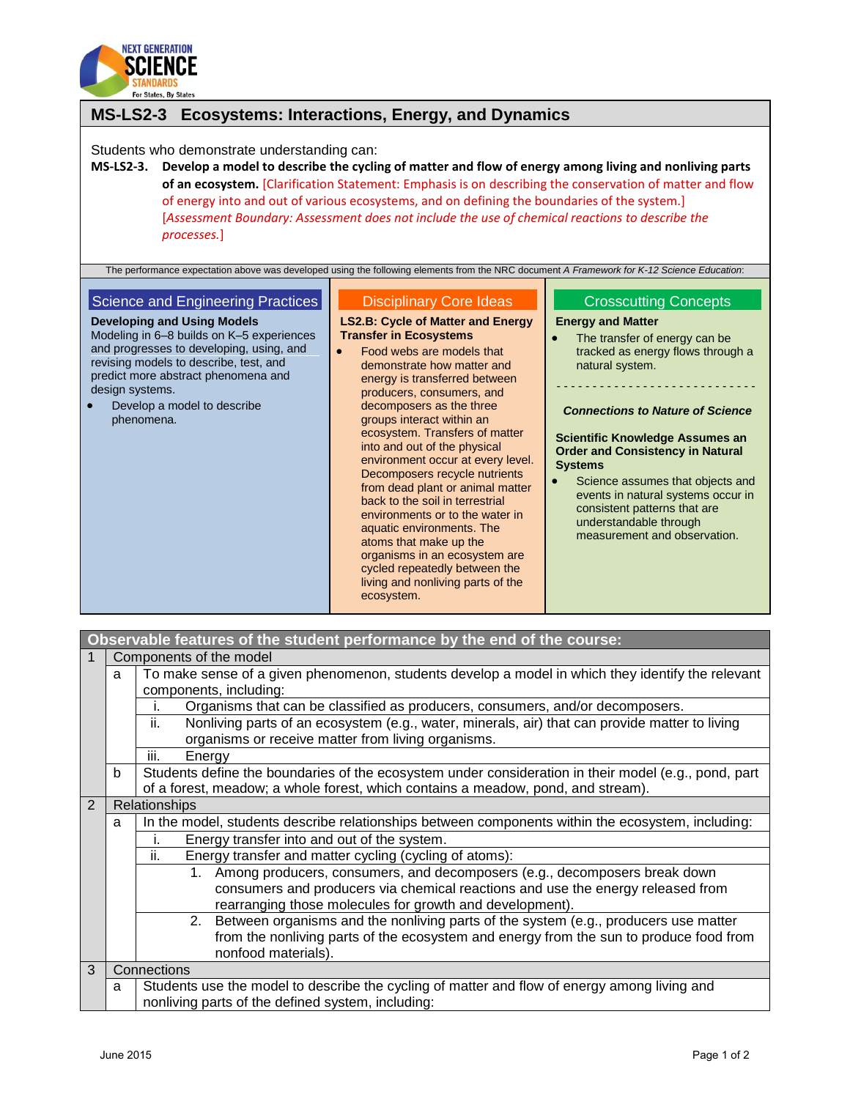

| MS-LS2-3 Ecosystems: Interactions, Energy, and Dynamics                                                                                                                                                                                                                                                                                                                                                                                                                                                                                                                                                                                              |                                                                                                                                                                                                                                                                                                                                                                                                                                                                                                                                                                                                                                                                                                                             |                                                                                                                                                                                                                                                                                                                                                                                                                                                                         |  |  |
|------------------------------------------------------------------------------------------------------------------------------------------------------------------------------------------------------------------------------------------------------------------------------------------------------------------------------------------------------------------------------------------------------------------------------------------------------------------------------------------------------------------------------------------------------------------------------------------------------------------------------------------------------|-----------------------------------------------------------------------------------------------------------------------------------------------------------------------------------------------------------------------------------------------------------------------------------------------------------------------------------------------------------------------------------------------------------------------------------------------------------------------------------------------------------------------------------------------------------------------------------------------------------------------------------------------------------------------------------------------------------------------------|-------------------------------------------------------------------------------------------------------------------------------------------------------------------------------------------------------------------------------------------------------------------------------------------------------------------------------------------------------------------------------------------------------------------------------------------------------------------------|--|--|
| Students who demonstrate understanding can:<br><b>MS-LS2-3.</b><br>Develop a model to describe the cycling of matter and flow of energy among living and nonliving parts<br>of an ecosystem. [Clarification Statement: Emphasis is on describing the conservation of matter and flow<br>of energy into and out of various ecosystems, and on defining the boundaries of the system.]<br>[Assessment Boundary: Assessment does not include the use of chemical reactions to describe the<br>processes.]<br>The performance expectation above was developed using the following elements from the NRC document A Framework for K-12 Science Education: |                                                                                                                                                                                                                                                                                                                                                                                                                                                                                                                                                                                                                                                                                                                             |                                                                                                                                                                                                                                                                                                                                                                                                                                                                         |  |  |
| Science and Engineering Practices<br><b>Developing and Using Models</b><br>Modeling in 6-8 builds on K-5 experiences<br>and progresses to developing, using, and<br>revising models to describe, test, and<br>predict more abstract phenomena and<br>design systems.<br>Develop a model to describe<br>phenomena.                                                                                                                                                                                                                                                                                                                                    | <b>Disciplinary Core Ideas</b><br><b>LS2.B: Cycle of Matter and Energy</b><br><b>Transfer in Ecosystems</b><br>Food webs are models that<br>demonstrate how matter and<br>energy is transferred between<br>producers, consumers, and<br>decomposers as the three<br>groups interact within an<br>ecosystem. Transfers of matter<br>into and out of the physical<br>environment occur at every level.<br>Decomposers recycle nutrients<br>from dead plant or animal matter<br>back to the soil in terrestrial<br>environments or to the water in<br>aquatic environments. The<br>atoms that make up the<br>organisms in an ecosystem are<br>cycled repeatedly between the<br>living and nonliving parts of the<br>ecosystem. | <b>Crosscutting Concepts</b><br><b>Energy and Matter</b><br>The transfer of energy can be<br>tracked as energy flows through a<br>natural system.<br><b>Connections to Nature of Science</b><br><b>Scientific Knowledge Assumes an</b><br><b>Order and Consistency in Natural</b><br><b>Systems</b><br>Science assumes that objects and<br>events in natural systems occur in<br>consistent patterns that are<br>understandable through<br>measurement and observation. |  |  |

|   | Observable features of the student performance by the end of the course:                                             |                                                                                                       |  |  |  |
|---|----------------------------------------------------------------------------------------------------------------------|-------------------------------------------------------------------------------------------------------|--|--|--|
|   | Components of the model                                                                                              |                                                                                                       |  |  |  |
|   | a                                                                                                                    | To make sense of a given phenomenon, students develop a model in which they identify the relevant     |  |  |  |
|   |                                                                                                                      | components, including:                                                                                |  |  |  |
|   |                                                                                                                      | Organisms that can be classified as producers, consumers, and/or decomposers.<br>İ.                   |  |  |  |
|   |                                                                                                                      | Nonliving parts of an ecosystem (e.g., water, minerals, air) that can provide matter to living<br>ii. |  |  |  |
|   |                                                                                                                      | organisms or receive matter from living organisms.                                                    |  |  |  |
|   | iii.<br>Energy                                                                                                       |                                                                                                       |  |  |  |
|   | Students define the boundaries of the ecosystem under consideration in their model (e.g., pond, part<br><sub>b</sub> |                                                                                                       |  |  |  |
|   |                                                                                                                      | of a forest, meadow; a whole forest, which contains a meadow, pond, and stream).                      |  |  |  |
| 2 |                                                                                                                      | <b>Relationships</b>                                                                                  |  |  |  |
|   | In the model, students describe relationships between components within the ecosystem, including:<br>a               |                                                                                                       |  |  |  |
|   |                                                                                                                      | Energy transfer into and out of the system.<br>L.                                                     |  |  |  |
|   |                                                                                                                      | Energy transfer and matter cycling (cycling of atoms):<br>ii.                                         |  |  |  |
|   |                                                                                                                      | 1. Among producers, consumers, and decomposers (e.g., decomposers break down                          |  |  |  |
|   |                                                                                                                      | consumers and producers via chemical reactions and use the energy released from                       |  |  |  |
|   |                                                                                                                      | rearranging those molecules for growth and development).                                              |  |  |  |
|   |                                                                                                                      | Between organisms and the nonliving parts of the system (e.g., producers use matter<br>2.             |  |  |  |
|   |                                                                                                                      | from the nonliving parts of the ecosystem and energy from the sun to produce food from                |  |  |  |
|   |                                                                                                                      | nonfood materials).                                                                                   |  |  |  |
| 3 |                                                                                                                      | Connections                                                                                           |  |  |  |
|   | a                                                                                                                    | Students use the model to describe the cycling of matter and flow of energy among living and          |  |  |  |
|   |                                                                                                                      | nonliving parts of the defined system, including:                                                     |  |  |  |